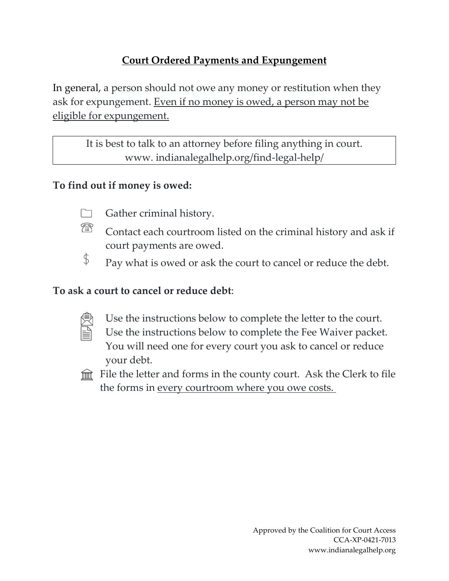# **Court Ordered Payments and Expungement**

In general, a person should not owe any money or restitution when they ask for expungement. Even if no money is owed, a person may not be eligible for expungement.

> It is best to talk to an attorney before filing anything in court. www. indianalegalhelp.org/find-legal-help/

# **To find out if money is owed:**

- 
- Gather criminal history.
- ? ereste antaŭara de mando en aŭ antaŭara de la antaŭara de la antaŭara de la antaŭara de la antaŭara de la antaŭara de la antaŭara de la antaŭara de la antaŭara de la antaŭara de la antaŭara de la antaŭara de la antaŭara Contact each courtroom listed on the criminal history and ask if court payments are owed.
- $\oint$ Pay what is owed or ask the court to cancel or reduce the debt.

## **To ask a court to cancel or reduce debt**:

- É
- Use the instructions below to complete the letter to the court.
- Use the instructions below to complete the Fee Waiver packet. You will need one for every court you ask to cancel or reduce your debt.
- $\hat{m}$  File the letter and forms in the county court. Ask the Clerk to file the forms in <u>every courtroom where you owe costs.</u>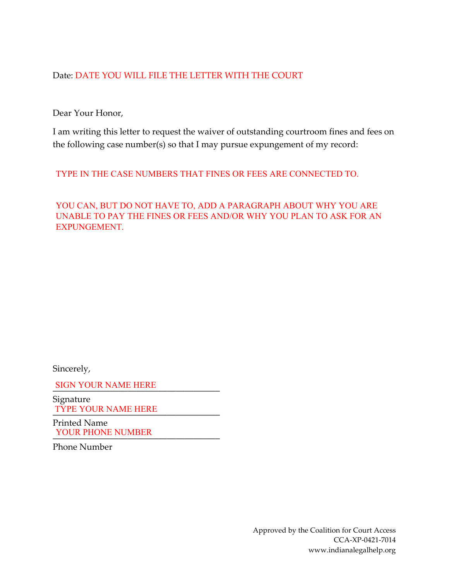#### Date: DATE YOU WILL FILE THE LETTER WITH THE COURT

Dear Your Honor,

I am writing this letter to request the waiver of outstanding courtroom fines and fees on the following case number(s) so that I may pursue expungement of my record:

TYPE IN THE CASE NUMBERS THAT FINES OR FEES ARE CONNECTED TO.

YOU CAN, BUT DO NOT HAVE TO, ADD A PARAGRAPH ABOUT WHY YOU ARE UNABLE TO PAY THE FINES OR FEES AND/OR WHY YOU PLAN TO ASK FOR AN EXPUNGEMENT.

Sincerely,

\_\_\_\_\_\_\_\_\_\_\_\_\_\_\_\_\_\_\_\_\_\_\_\_\_\_\_\_\_\_\_\_\_\_\_\_\_\_ SIGN YOUR NAME HERE

Signature TYPE YOUR NAME HERE

Printed Name YOUR PHONE NUMBER

Phone Number

Approved by the Coalition for Court Access CCA-XP-0421-7014 www.indianalegalhelp.org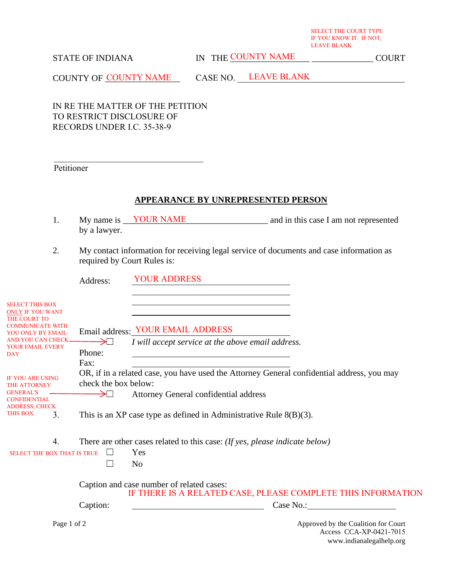SELECT THE COURT TYPE IF YOU KNOW IT. IF NOT, LEAVE BLANK

### STATE OF INDIANA

IN THE COUNTY NAME COURT

COUNTY OF COUNTY NAME CASE NO. LEAVE BLANK

IN RE THE MATTER OF THE PETITION TO RESTRICT DISCLOSURE OF RECORDS UNDER I.C. 35-38-9

 $\mathcal{L}_\mathcal{L}$  , which is a set of the set of the set of the set of the set of the set of the set of the set of the set of the set of the set of the set of the set of the set of the set of the set of the set of the set of

Petitioner

#### **APPEARANCE BY UNREPRESENTED PERSON**

- 1. My name is <u>VOUR NAME</u> and in this case I am not represented by a lawyer.
- 2. My contact information for receiving legal service of documents and case information as required by Court Rules is:

|                                                                                                                                                                                        | Address:                       | <b>YOUR ADDRESS</b>                                                                                                                 |                                                                                            |
|----------------------------------------------------------------------------------------------------------------------------------------------------------------------------------------|--------------------------------|-------------------------------------------------------------------------------------------------------------------------------------|--------------------------------------------------------------------------------------------|
| <b>SELECT THIS BOX</b><br><b>ONLY IF YOU WANT</b><br><b>THE COURT TO</b><br><b>COMMUNICATE WITH</b><br>YOU ONLY BY EMAIL<br><b>AND YOU CAN CHECK</b><br>YOUR EMAIL EVERY<br><b>DAY</b> | $\rightarrow$ $\Box$<br>Phone: | Email address: YOUR EMAIL ADDRESS<br>I will accept service at the above email address.                                              |                                                                                            |
|                                                                                                                                                                                        | Fax:                           |                                                                                                                                     |                                                                                            |
| <b>IF YOU ARE USING</b><br><b>THE ATTORNEY</b><br><b>GENERAL'S</b><br><b>CONFIDENTIAL</b>                                                                                              | check the box below:<br>→⊔     | OR, if in a related case, you have used the Attorney General confidential address, you may<br>Attorney General confidential address |                                                                                            |
| <b>ADDRESS, CHECK</b><br>THIS BOX<br>3.                                                                                                                                                |                                | This is an XP case type as defined in Administrative Rule $8(B)(3)$ .                                                               |                                                                                            |
| 4.                                                                                                                                                                                     |                                | There are other cases related to this case: (If yes, please indicate below)                                                         |                                                                                            |
| <b>SELECT THE BOX THAT IS TRUE</b>                                                                                                                                                     |                                | Yes                                                                                                                                 |                                                                                            |
|                                                                                                                                                                                        |                                | N <sub>0</sub>                                                                                                                      |                                                                                            |
|                                                                                                                                                                                        |                                | Caption and case number of related cases:<br>IF THERE IS A RELATED CASE, PLEASE COMPLETE THIS INFORMATION                           |                                                                                            |
|                                                                                                                                                                                        | Caption:                       |                                                                                                                                     | Case No.:                                                                                  |
| Page 1 of 2                                                                                                                                                                            |                                |                                                                                                                                     | Approved by the Coalition for Court<br>Access CCA-XP-0421-7015<br>www.indianalegalhelp.org |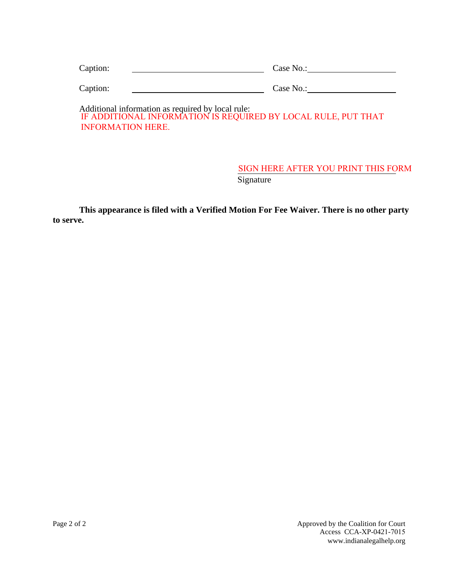| Caption: | Case No.:                                                                                                          |
|----------|--------------------------------------------------------------------------------------------------------------------|
| Caption: | Case No.:                                                                                                          |
|          | Additional information as required by local rule:<br>IE ADDITIONAL INFORMATION IS DEOUIDED DV LOCAL DUILE DUT THAT |

IF ADDITIONAL INFORMATION IS REQUIRED BY LOCAL RULE, PUT THAT INFORMATION HERE.

### **Signature** SIGN HERE AFTER YOU PRINT THIS FORM

**This appearance is filed with a Verified Motion For Fee Waiver. There is no other party to serve.**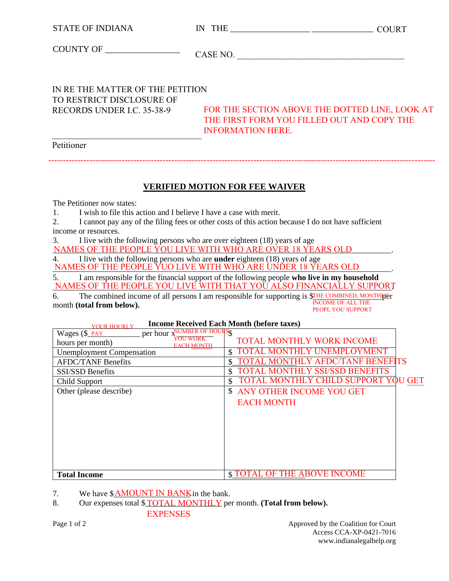| <b>STATE OF INDIANA</b>                                                                     | <b>COURT</b>                                                                                                             |
|---------------------------------------------------------------------------------------------|--------------------------------------------------------------------------------------------------------------------------|
|                                                                                             | CASE NO.                                                                                                                 |
| IN RE THE MATTER OF THE PETITION<br>TO RESTRICT DISCLOSURE OF<br>RECORDS UNDER I.C. 35-38-9 | FOR THE SECTION ABOVE THE DOTTED LINE, LOOK AT<br>THE FIRST FORM YOU FILLED OUT AND COPY THE<br><b>INFORMATION HERE.</b> |
| Petitioner                                                                                  |                                                                                                                          |
|                                                                                             | <b>VERIFIED MOTION FOR FEE WAIVER</b>                                                                                    |

The Petitioner now states:

1. I wish to file this action and I believe I have a case with merit.

2. I cannot pay any of the filing fees or other costs of this action because I do not have sufficient income or resources.

3. I live with the following persons who are over eighteen (18) years of age

NAMES OF THE PEOPLE YOU LIVE WITH WHO ARE OVER 18 YEARS OLD FOR ALL THE PEOPLE YOU LIVE WITH WHO ARE OVER 18 YEARS OLD

4. I live with the following persons who are **under** eighteen (18) years of age NAMES OF THE PEOPLE YUO LIVE WITH WHO ARE UNDER 18 YEARS OLD

5. I am responsible for the financial support of the following people **who live in my household** NAMES OF THE PEOPLE YOU LIVE WITH THAT YOU ALSO FINANCIALLY SUPPORT

6. The combined income of all persons I am responsible for supporting is \$THE COMBINED, MONTHL month **(total from below).** INCOME OF ALL THE PEOPL YOU SUPPORT

> **Income Received Each Month (before taxes)** YOUR HOURLY

| per hour x <sup>NUMBER</sup> OF HOURSS<br>Wages (\$_PAY |                                             |
|---------------------------------------------------------|---------------------------------------------|
| hours per month)<br><b>EACH MONTH</b>                   | <b>TOTAL MONTHLY WORK INCOME</b>            |
| <b>Unemployment Compensation</b>                        | TOTAL MONTHLY UNEMPLOYMENT<br>\$            |
| <b>AFDC/TANF Benefits</b>                               | L MONTHLY AFDC/TANF BENEFITS                |
| <b>SSI/SSD Benefits</b>                                 | <b>TOTAL MONTHLY SSI/SSD BENEFITS</b><br>\$ |
| Child Support                                           | TOTAL MONTHLY CHILD SUPPORT YOU GET<br>S.   |
| Other (please describe)                                 | <sup>S</sup><br>ANY OTHER INCOME YOU GET    |
|                                                         | <b>EACH MONTH</b>                           |
|                                                         |                                             |
|                                                         |                                             |
|                                                         |                                             |
|                                                         |                                             |
|                                                         |                                             |
|                                                         |                                             |
|                                                         |                                             |
| <b>Total Income</b>                                     | <b>\$TOTAL OF THE ABOVE INCOME</b>          |

7. We have  $\frac{\text{M} \text{M} \text{A} \text{N} \text{N}}{N}$  in the bank.

8. Our expenses total \$**TOTAL MONTHLY** per month. (**Total from below**). EXPENSES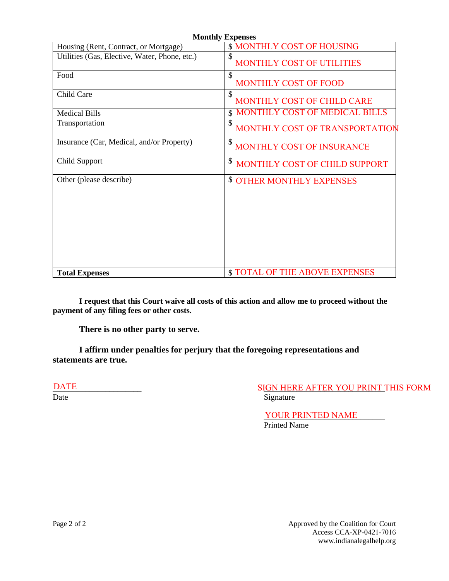| <b>Monthly Expenses</b>                       |                                        |  |  |  |
|-----------------------------------------------|----------------------------------------|--|--|--|
| Housing (Rent, Contract, or Mortgage)         | <b>\$ MONTHLY COST OF HOUSING</b>      |  |  |  |
| Utilities (Gas, Elective, Water, Phone, etc.) | \$<br><b>MONTHLY COST OF UTILITIES</b> |  |  |  |
| Food                                          | \$<br>MONTHLY COST OF FOOD             |  |  |  |
| Child Care                                    | \$<br>MONTHLY COST OF CHILD CARE       |  |  |  |
| <b>Medical Bills</b>                          | <b>MONTHLY COST OF MEDICAL BILLS</b>   |  |  |  |
| Transportation                                | \$<br>MONTHLY COST OF TRANSPORTATION   |  |  |  |
| Insurance (Car, Medical, and/or Property)     | \$<br>MONTHLY COST OF INSURANCE        |  |  |  |
| Child Support                                 | \$<br>MONTHLY COST OF CHILD SUPPORT    |  |  |  |
| Other (please describe)                       | \$<br><b>OTHER MONTHLY EXPENSES</b>    |  |  |  |
| <b>Total Expenses</b>                         | <b>\$TOTAL OF THE ABOVE EXPENSES</b>   |  |  |  |

**I request that this Court waive all costs of this action and allow me to proceed without the payment of any filing fees or other costs.** 

**There is no other party to serve.** 

**I affirm under penalties for perjury that the foregoing representations and statements are true.**

DATE

\_\_\_\_\_\_\_\_\_\_\_\_\_\_\_\_\_\_\_\_\_\_ \_\_\_\_\_\_\_\_\_\_\_\_\_\_\_\_\_\_\_\_\_\_\_\_\_\_\_\_\_\_ SIGN HERE AFTER YOU PRINT THIS FORM Date Signature

> YOUR PRINTED NAME Printed Name